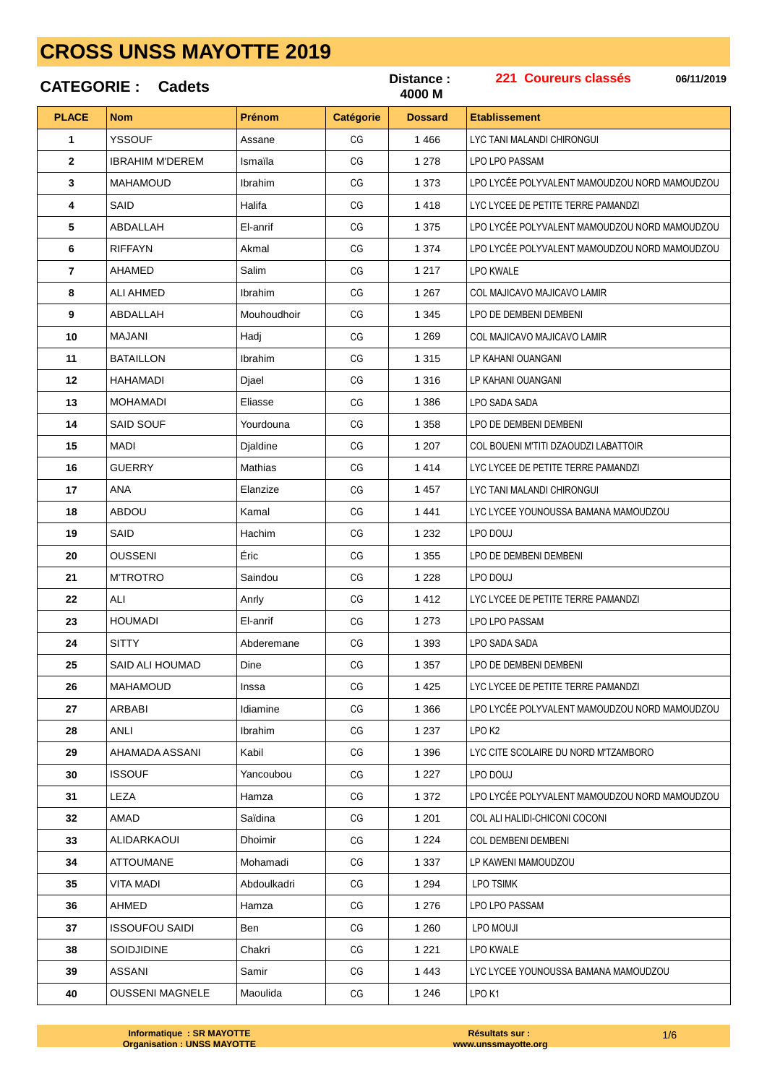|                | <b>CATEGORIE: Cadets</b> |                |                  | Distance :<br>4000 M | 221 Coureurs classés<br>06/11/2019            |
|----------------|--------------------------|----------------|------------------|----------------------|-----------------------------------------------|
| <b>PLACE</b>   | <b>Nom</b>               | <b>Prénom</b>  | <b>Catégorie</b> | <b>Dossard</b>       | <b>Etablissement</b>                          |
| 1              | <b>YSSOUF</b>            | Assane         | CG               | 1 4 6 6              | LYC TANI MALANDI CHIRONGUI                    |
| $\mathbf{2}$   | <b>IBRAHIM M'DEREM</b>   | Ismaila        | CG               | 1 2 7 8              | <b>LPO LPO PASSAM</b>                         |
| 3              | <b>MAHAMOUD</b>          | Ibrahim        | CG               | 1 3 7 3              | LPO LYCÉE POLYVALENT MAMOUDZOU NORD MAMOUDZOU |
| 4              | SAID                     | Halifa         | CG               | 1418                 | LYC LYCEE DE PETITE TERRE PAMANDZI            |
| 5              | ABDALLAH                 | El-anrif       | CG               | 1 3 7 5              | LPO LYCÉE POLYVALENT MAMOUDZOU NORD MAMOUDZOU |
| 6              | <b>RIFFAYN</b>           | Akmal          | CG               | 1 3 7 4              | LPO LYCÉE POLYVALENT MAMOUDZOU NORD MAMOUDZOU |
| $\overline{7}$ | AHAMED                   | Salim          | CG               | 1 2 1 7              | LPO KWALE                                     |
| 8              | ALI AHMED                | Ibrahim        | CG               | 1 2 6 7              | COL MAJICAVO MAJICAVO LAMIR                   |
| 9              | ABDALLAH                 | Mouhoudhoir    | CG               | 1 3 4 5              | LPO DE DEMBENI DEMBENI                        |
| 10             | MAJANI                   | Hadj           | CG               | 1 2 6 9              | <b>COL MAJICAVO MAJICAVO LAMIR</b>            |
| 11             | <b>BATAILLON</b>         | Ibrahim        | CG               | 1 3 1 5              | LP KAHANI OUANGANI                            |
| 12             | <b>HAHAMADI</b>          | Djael          | CG               | 1 3 1 6              | LP KAHANI OUANGANI                            |
| 13             | <b>MOHAMADI</b>          | Eliasse        | CG               | 1 3 8 6              | LPO SADA SADA                                 |
| 14             | <b>SAID SOUF</b>         | Yourdouna      | CG               | 1 3 5 8              | LPO DE DEMBENI DEMBENI                        |
| 15             | MADI                     | Djaldine       | CG               | 1 207                | COL BOUENI M'TITI DZAOUDZI LABATTOIR          |
| 16             | GUERRY                   | Mathias        | CG               | 1414                 | LYC LYCEE DE PETITE TERRE PAMANDZI            |
| 17             | ANA                      | Elanzize       | CG               | 1 4 5 7              | LYC TANI MALANDI CHIRONGUI                    |
| 18             | <b>ABDOU</b>             | Kamal          | CG               | 1441                 | LYC LYCEE YOUNOUSSA BAMANA MAMOUDZOU          |
| 19             | SAID                     | Hachim         | CG               | 1 2 3 2              | LPO DOUJ                                      |
| 20             | <b>OUSSENI</b>           | Éric           | CG               | 1 3 5 5              | LPO DE DEMBENI DEMBENI                        |
| 21             | <b>M'TROTRO</b>          | Saindou        | CG               | 1 2 2 8              | LPO DOUJ                                      |
| 22             | ALI                      | Anrly          | CG               | 1412                 | LYC LYCEE DE PETITE TERRE PAMANDZI            |
| 23             | <b>HOUMADI</b>           | El-anrif       | CG               | 1 2 7 3              | LPO LPO PASSAM                                |
| 24             | <b>SITTY</b>             | Abderemane     | CG               | 1 3 9 3              | LPO SADA SADA                                 |
| 25             | SAID ALI HOUMAD          | Dine           | CG               | 1 3 5 7              | LPO DE DEMBENI DEMBENI                        |
| 26             | MAHAMOUD                 | Inssa          | CG               | 1 4 2 5              | LYC LYCEE DE PETITE TERRE PAMANDZI            |
| 27             | ARBABI                   | Idiamine       | CG               | 1 3 6 6              | LPO LYCÉE POLYVALENT MAMOUDZOU NORD MAMOUDZOU |
| 28             | ANLI                     | Ibrahim        | CG               | 1 2 3 7              | LPO K2                                        |
| 29             | AHAMADA ASSANI           | Kabil          | CG               | 1 3 9 6              | LYC CITE SCOLAIRE DU NORD M'TZAMBORO          |
| 30             | <b>ISSOUF</b>            | Yancoubou      | CG               | 1 2 2 7              | LPO DOUJ                                      |
| 31             | LEZA                     | Hamza          | CG               | 1 3 7 2              | LPO LYCÉE POLYVALENT MAMOUDZOU NORD MAMOUDZOU |
| 32             | AMAD                     | Saïdina        | CG               | 1 2 0 1              | COL ALI HALIDI-CHICONI COCONI                 |
| 33             | ALIDARKAOUI              | <b>Dhoimir</b> | CG               | 1 2 2 4              | <b>COL DEMBENI DEMBENI</b>                    |
| 34             | ATTOUMANE                | Mohamadi       | CG               | 1 3 3 7              | LP KAWENI MAMOUDZOU                           |
| 35             | VITA MADI                | Abdoulkadri    | CG               | 1 2 9 4              | <b>LPO TSIMK</b>                              |
| 36             | AHMED                    | Hamza          | CG               | 1 2 7 6              | LPO LPO PASSAM                                |
| 37             | ISSOUFOU SAIDI           | Ben            | CG               | 1 2 6 0              | LPO MOUJI                                     |
| 38             | SOIDJIDINE               | Chakri         | CG               | 1 2 2 1              | <b>LPO KWALE</b>                              |
| 39             | ASSANI                   | Samir          | CG               | 1 4 4 3              | LYC LYCEE YOUNOUSSA BAMANA MAMOUDZOU          |
| 40             | <b>OUSSENI MAGNELE</b>   | Maoulida       | CG               | 1 2 4 6              | LPO <sub>K1</sub>                             |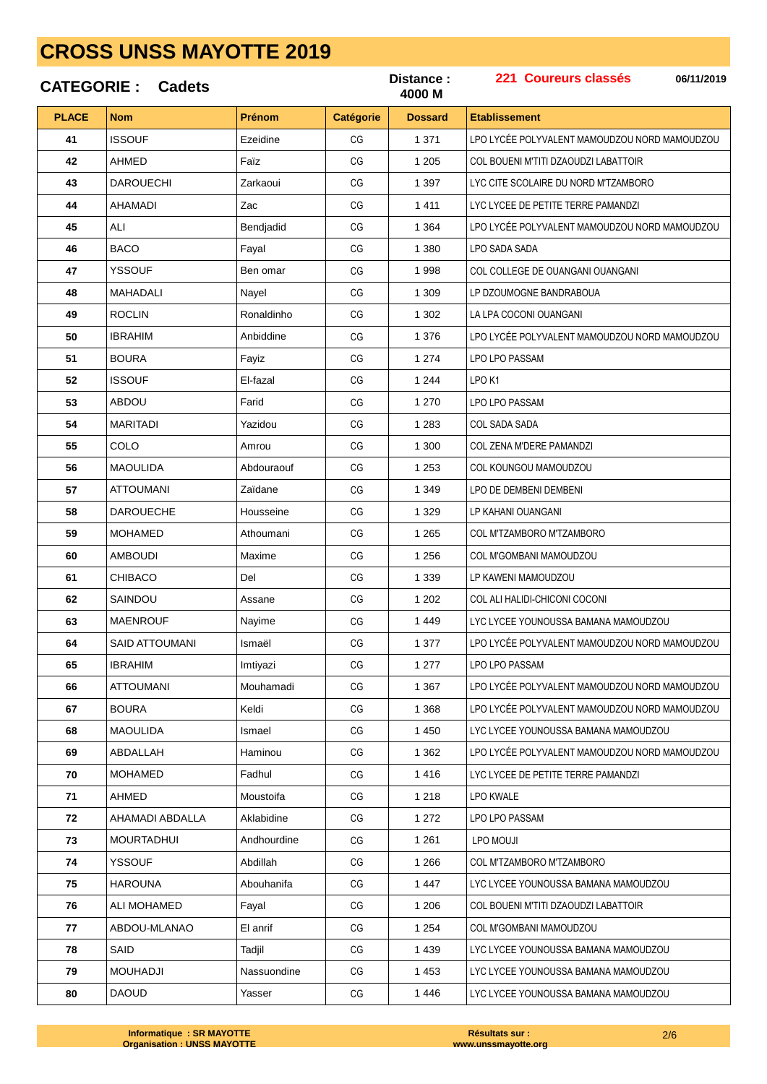|              | <b>CATEGORIE: Cadets</b> |             |                  | Distance:<br>4000 M | 221 Coureurs classés<br>06/11/2019            |
|--------------|--------------------------|-------------|------------------|---------------------|-----------------------------------------------|
| <b>PLACE</b> | <b>Nom</b>               | Prénom      | <b>Catégorie</b> | <b>Dossard</b>      | <b>Etablissement</b>                          |
| 41           | <b>ISSOUF</b>            | Ezeidine    | CG               | 1 3 7 1             | LPO LYCÉE POLYVALENT MAMOUDZOU NORD MAMOUDZOU |
| 42           | <b>AHMED</b>             | Faïz        | CG               | 1 2 0 5             | COL BOUENI M'TITI DZAOUDZI LABATTOIR          |
| 43           | <b>DAROUECHI</b>         | Zarkaoui    | CG               | 1 3 9 7             | LYC CITE SCOLAIRE DU NORD M'TZAMBORO          |
| 44           | AHAMADI                  | Zac         | CG               | 1411                | LYC LYCEE DE PETITE TERRE PAMANDZI            |
| 45           | ALI                      | Bendjadid   | CG               | 1 3 6 4             | LPO LYCÉE POLYVALENT MAMOUDZOU NORD MAMOUDZOU |
| 46           | <b>BACO</b>              | Fayal       | CG               | 1 3 8 0             | LPO SADA SADA                                 |
| 47           | <b>YSSOUF</b>            | Ben omar    | CG               | 1998                | COL COLLEGE DE OUANGANI OUANGANI              |
| 48           | MAHADALI                 | Nayel       | CG               | 1 309               | LP DZOUMOGNE BANDRABOUA                       |
| 49           | <b>ROCLIN</b>            | Ronaldinho  | CG               | 1 302               | LA LPA COCONI OUANGANI                        |
| 50           | <b>IBRAHIM</b>           | Anbiddine   | CG               | 1 3 7 6             | LPO LYCÉE POLYVALENT MAMOUDZOU NORD MAMOUDZOU |
| 51           | <b>BOURA</b>             | Fayiz       | CG               | 1 2 7 4             | LPO LPO PASSAM                                |
| 52           | <b>ISSOUF</b>            | El-fazal    | CG               | 1 2 4 4             | LPO <sub>K1</sub>                             |
| 53           | ABDOU                    | Farid       | CG               | 1 270               | LPO LPO PASSAM                                |
| 54           | <b>MARITADI</b>          | Yazidou     | CG               | 1 2 8 3             | <b>COL SADA SADA</b>                          |
| 55           | COLO                     | Amrou       | CG               | 1 300               | COL ZENA M'DERE PAMANDZI                      |
| 56           | <b>MAOULIDA</b>          | Abdouraouf  | CG               | 1 2 5 3             | COL KOUNGOU MAMOUDZOU                         |
| 57           | ATTOUMANI                | Zaïdane     | CG               | 1 3 4 9             | LPO DE DEMBENI DEMBENI                        |
| 58           | <b>DAROUECHE</b>         | Housseine   | CG               | 1 3 2 9             | LP KAHANI OUANGANI                            |
| 59           | <b>MOHAMED</b>           | Athoumani   | CG               | 1 2 6 5             | COL M'TZAMBORO M'TZAMBORO                     |
| 60           | <b>AMBOUDI</b>           | Maxime      | CG               | 1 2 5 6             | COL M'GOMBANI MAMOUDZOU                       |
| 61           | <b>CHIBACO</b>           | Del         | CG               | 1 3 3 9             | LP KAWENI MAMOUDZOU                           |
| 62           | SAINDOU                  | Assane      | CG               | 1 202               | COL ALI HALIDI-CHICONI COCONI                 |
| 63           | <b>MAENROUF</b>          | Nayime      | CG               | 1449                | LYC LYCEE YOUNOUSSA BAMANA MAMOUDZOU          |
| 64           | SAID ATTOUMANI           | Ismaël      | CG               | 1 377               | LPO LYCÉE POLYVALENT MAMOUDZOU NORD MAMOUDZOU |
| 65           | <b>IBRAHIM</b>           | Imtiyazi    | CG               | 1 277               | LPO LPO PASSAM                                |
| 66           | <b>ATTOUMANI</b>         | Mouhamadi   | CG               | 1 3 6 7             | LPO LYCÉE POLYVALENT MAMOUDZOU NORD MAMOUDZOU |
| 67           | <b>BOURA</b>             | Keldi       | CG               | 1 3 6 8             | LPO LYCÉE POLYVALENT MAMOUDZOU NORD MAMOUDZOU |
| 68           | <b>MAOULIDA</b>          | Ismael      | CG               | 1 4 5 0             | LYC LYCEE YOUNOUSSA BAMANA MAMOUDZOU          |
| 69           | ABDALLAH                 | Haminou     | CG               | 1 3 6 2             | LPO LYCÉE POLYVALENT MAMOUDZOU NORD MAMOUDZOU |
| 70           | <b>MOHAMED</b>           | Fadhul      | CG               | 1416                | LYC LYCEE DE PETITE TERRE PAMANDZI            |
| 71           | AHMED                    | Moustoifa   | CG               | 1 2 1 8             | LPO KWALE                                     |
| 72           | AHAMADI ABDALLA          | Aklabidine  | CG               | 1 2 7 2             | LPO LPO PASSAM                                |
| 73           | MOURTADHUI               | Andhourdine | CG               | 1 2 6 1             | LPO MOUJI                                     |
| 74           | <b>YSSOUF</b>            | Abdillah    | CG               | 1 2 6 6             | COL M'TZAMBORO M'TZAMBORO                     |
| 75           | <b>HAROUNA</b>           | Abouhanifa  | CG               | 1447                | LYC LYCEE YOUNOUSSA BAMANA MAMOUDZOU          |
| 76           | ALI MOHAMED              | Fayal       | CG               | 1 206               | COL BOUENI M'TITI DZAOUDZI LABATTOIR          |
| 77           | ABDOU-MLANAO             | El anrif    | CG               | 1 2 5 4             | COL M'GOMBANI MAMOUDZOU                       |
| 78           | SAID                     | Tadjil      | CG               | 1 4 3 9             | LYC LYCEE YOUNOUSSA BAMANA MAMOUDZOU          |
| 79           | <b>MOUHADJI</b>          | Nassuondine | CG               | 1 4 5 3             | LYC LYCEE YOUNOUSSA BAMANA MAMOUDZOU          |
| 80           | <b>DAOUD</b>             | Yasser      | CG               | 1446                | LYC LYCEE YOUNOUSSA BAMANA MAMOUDZOU          |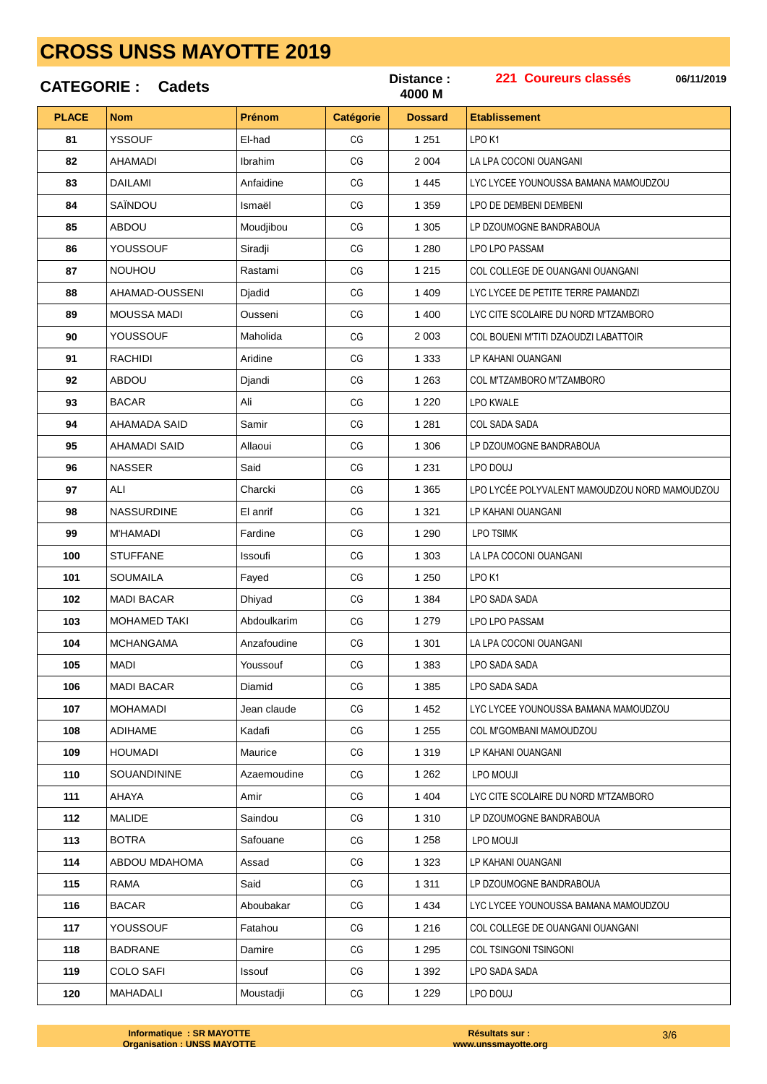|              | <b>CATEGORIE: Cadets</b> |               |                  | Distance:<br>4000 M | 221 Coureurs classés<br>06/11/2019            |
|--------------|--------------------------|---------------|------------------|---------------------|-----------------------------------------------|
| <b>PLACE</b> | <b>Nom</b>               | <b>Prénom</b> | <b>Catégorie</b> | <b>Dossard</b>      | <b>Etablissement</b>                          |
| 81           | <b>YSSOUF</b>            | El-had        | CG               | 1 2 5 1             | LPO <sub>K1</sub>                             |
| 82           | AHAMADI                  | Ibrahim       | CG               | 2 0 0 4             | LA LPA COCONI OUANGANI                        |
| 83           | DAILAMI                  | Anfaidine     | СG               | 1 4 4 5             | LYC LYCEE YOUNOUSSA BAMANA MAMOUDZOU          |
| 84           | SAÏNDOU                  | Ismaël        | CG               | 1 3 5 9             | LPO DE DEMBENI DEMBENI                        |
| 85           | ABDOU                    | Moudjibou     | CG               | 1 3 0 5             | LP DZOUMOGNE BANDRABOUA                       |
| 86           | <b>YOUSSOUF</b>          | Siradji       | CG               | 1 2 8 0             | LPO LPO PASSAM                                |
| 87           | <b>NOUHOU</b>            | Rastami       | CG               | 1 2 1 5             | COL COLLEGE DE OUANGANI OUANGANI              |
| 88           | AHAMAD-OUSSENI           | Djadid        | СG               | 1 4 0 9             | LYC LYCEE DE PETITE TERRE PAMANDZI            |
| 89           | <b>MOUSSA MADI</b>       | Ousseni       | CG               | 1 400               | LYC CITE SCOLAIRE DU NORD M'TZAMBORO          |
| 90           | <b>YOUSSOUF</b>          | Maholida      | CG               | 2 0 0 3             | COL BOUENI M'TITI DZAOUDZI LABATTOIR          |
| 91           | <b>RACHIDI</b>           | Aridine       | CG               | 1 3 3 3             | LP KAHANI OUANGANI                            |
| 92           | ABDOU                    | Djandi        | CG               | 1 2 6 3             | COL M'TZAMBORO M'TZAMBORO                     |
| 93           | <b>BACAR</b>             | Ali           | СG               | 1 2 2 0             | LPO KWALE                                     |
| 94           | AHAMADA SAID             | Samir         | CG               | 1 2 8 1             | <b>COL SADA SADA</b>                          |
| 95           | AHAMADI SAID             | Allaoui       | СG               | 1 30 6              | LP DZOUMOGNE BANDRABOUA                       |
| 96           | <b>NASSER</b>            | Said          | CG               | 1 2 3 1             | LPO DOUJ                                      |
| 97           | ALI                      | Charcki       | CG               | 1 3 6 5             | LPO LYCÉE POLYVALENT MAMOUDZOU NORD MAMOUDZOU |
| 98           | <b>NASSURDINE</b>        | El anrif      | CG               | 1 3 2 1             | LP KAHANI OUANGANI                            |
| 99           | <b>M'HAMADI</b>          | Fardine       | СG               | 1 2 9 0             | <b>LPO TSIMK</b>                              |
| 100          | <b>STUFFANE</b>          | Issoufi       | CG               | 1 3 0 3             | LA LPA COCONI OUANGANI                        |
| 101          | <b>SOUMAILA</b>          | Fayed         | CG               | 1 2 5 0             | LPO <sub>K1</sub>                             |
| 102          | <b>MADI BACAR</b>        | Dhiyad        | CG               | 1 3 8 4             | LPO SADA SADA                                 |
| 103          | <b>MOHAMED TAKI</b>      | Abdoulkarim   | CG               | 1 2 7 9             | LPO LPO PASSAM                                |
| 104          | <b>MCHANGAMA</b>         | Anzafoudine   | CG               | 1 3 0 1             | LA LPA COCONI OUANGANI                        |
| 105          | MADI                     | Youssouf      | CG               | 1 3 8 3             | LPO SADA SADA                                 |
| 106          | <b>MADI BACAR</b>        | Diamid        | CG               | 1 3 8 5             | LPO SADA SADA                                 |
| 107          | <b>MOHAMADI</b>          | Jean claude   | CG               | 1 4 5 2             | LYC LYCEE YOUNOUSSA BAMANA MAMOUDZOU          |
| 108          | <b>ADIHAME</b>           | Kadafi        | CG               | 1 2 5 5             | COL M'GOMBANI MAMOUDZOU                       |
| 109          | <b>HOUMADI</b>           | Maurice       | CG               | 1 3 1 9             | LP KAHANI OUANGANI                            |
| 110          | <b>SOUANDININE</b>       | Azaemoudine   | CG               | 1 2 6 2             | LPO MOUJI                                     |
| 111          | AHAYA                    | Amir          | CG               | 1 4 0 4             | LYC CITE SCOLAIRE DU NORD M'TZAMBORO          |
| 112          | MALIDE                   | Saindou       | CG               | 1 3 1 0             | LP DZOUMOGNE BANDRABOUA                       |
| 113          | <b>BOTRA</b>             | Safouane      | CG               | 1 2 5 8             | LPO MOUJI                                     |
| 114          | ABDOU MDAHOMA            | Assad         | CG               | 1 3 2 3             | LP KAHANI OUANGANI                            |
| 115          | <b>RAMA</b>              | Said          | CG               | 1 3 1 1             | LP DZOUMOGNE BANDRABOUA                       |
| 116          | <b>BACAR</b>             | Aboubakar     | CG               | 1 4 3 4             | LYC LYCEE YOUNOUSSA BAMANA MAMOUDZOU          |
| 117          | YOUSSOUF                 | Fatahou       | CG               | 1 2 1 6             | COL COLLEGE DE OUANGANI OUANGANI              |
| 118          | <b>BADRANE</b>           | Damire        | CG               | 1 2 9 5             | <b>COL TSINGONI TSINGONI</b>                  |
| 119          | <b>COLO SAFI</b>         | Issouf        | CG               | 1 3 9 2             | LPO SADA SADA                                 |
| 120          | MAHADALI                 | Moustadji     | CG               | 1 2 2 9             | LPO DOUJ                                      |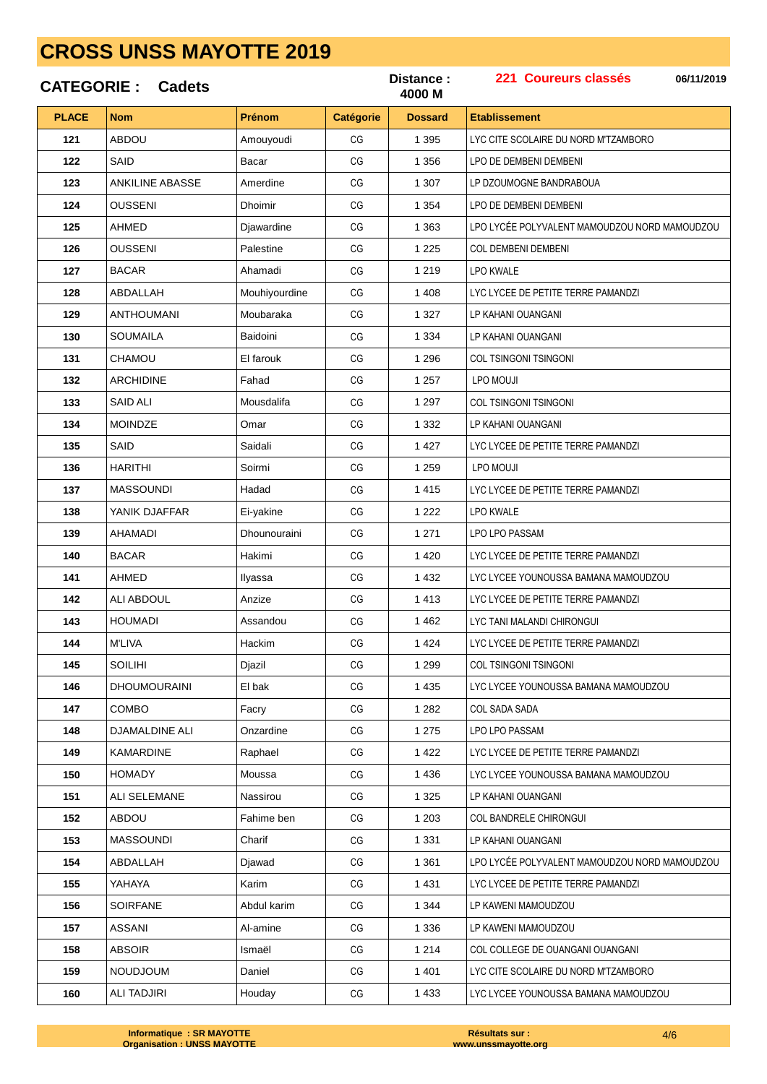|              | <b>CATEGORIE: Cadets</b> |               |                        | Distance:<br>4000 M | 221 Coureurs classés<br>06/11/2019            |
|--------------|--------------------------|---------------|------------------------|---------------------|-----------------------------------------------|
| <b>PLACE</b> | <b>Nom</b>               | <b>Prénom</b> | Catégorie              | <b>Dossard</b>      | <b>Etablissement</b>                          |
| 121          | ABDOU                    | Amouyoudi     | CG                     | 1 3 9 5             | LYC CITE SCOLAIRE DU NORD M'TZAMBORO          |
| 122          | SAID                     | Bacar         | CG                     | 1 3 5 6             | LPO DE DEMBENI DEMBENI                        |
| 123          | <b>ANKILINE ABASSE</b>   | Amerdine      | CG                     | 1 307               | LP DZOUMOGNE BANDRABOUA                       |
| 124          | <b>OUSSENI</b>           | Dhoimir       | CG                     | 1 3 5 4             | LPO DE DEMBENI DEMBENI                        |
| 125          | AHMED                    | Djawardine    | CG                     | 1 3 6 3             | LPO LYCÉE POLYVALENT MAMOUDZOU NORD MAMOUDZOU |
| 126          | <b>OUSSENI</b>           | Palestine     | CG                     | 1 2 2 5             | <b>COL DEMBENI DEMBENI</b>                    |
| 127          | <b>BACAR</b>             | Ahamadi       | CG                     | 1 2 1 9             | <b>LPO KWALE</b>                              |
| 128          | ABDALLAH                 | Mouhiyourdine | CG                     | 1 4 0 8             | LYC LYCEE DE PETITE TERRE PAMANDZI            |
| 129          | <b>ANTHOUMANI</b>        | Moubaraka     | CG                     | 1 3 2 7             | LP KAHANI OUANGANI                            |
| 130          | <b>SOUMAILA</b>          | Baidoini      | CG                     | 1 3 3 4             | LP KAHANI OUANGANI                            |
| 131          | CHAMOU                   | El farouk     | CG                     | 1 2 9 6             | <b>COL TSINGONI TSINGONI</b>                  |
| 132          | <b>ARCHIDINE</b>         | Fahad         | CG                     | 1 2 5 7             | LPO MOUJI                                     |
| 133          | <b>SAID ALI</b>          | Mousdalifa    | CG                     | 1 2 9 7             | COL TSINGONI TSINGONI                         |
| 134          | <b>MOINDZE</b>           | Omar          | CG                     | 1 3 3 2             | LP KAHANI OUANGANI                            |
| 135          | <b>SAID</b>              | Saidali       | CG                     | 1 4 2 7             | LYC LYCEE DE PETITE TERRE PAMANDZI            |
| 136          | <b>HARITHI</b>           | Soirmi        | CG                     | 1 2 5 9             | LPO MOUJI                                     |
| 137          | <b>MASSOUNDI</b>         | Hadad         | CG                     | 1415                | LYC LYCEE DE PETITE TERRE PAMANDZI            |
| 138          | YANIK DJAFFAR            | Ei-yakine     | CG                     | 1 2 2 2             | <b>LPO KWALE</b>                              |
| 139          | AHAMADI                  | Dhounouraini  | CG                     | 1 2 7 1             | LPO LPO PASSAM                                |
| 140          | <b>BACAR</b>             | Hakimi        | CG                     | 1 4 2 0             | LYC LYCEE DE PETITE TERRE PAMANDZI            |
| 141          | <b>AHMED</b>             | Ilyassa       | CG                     | 1 4 3 2             | LYC LYCEE YOUNOUSSA BAMANA MAMOUDZOU          |
| 142          | <b>ALI ABDOUL</b>        | Anzize        | CG                     | 1413                | LYC LYCEE DE PETITE TERRE PAMANDZI            |
| 143          | HOUMADI                  | Assandou      | CG                     | 1462                | LYC TANI MALANDI CHIRONGUI                    |
| 144          | <b>M'LIVA</b>            | Hackim        | $\mathbb{C}\mathbb{G}$ | 1 4 2 4             | LYC LYCEE DE PETITE TERRE PAMANDZI            |
| 145          | <b>SOILIHI</b>           | Djazil        | CG                     | 1 2 9 9             | <b>COL TSINGONI TSINGONI</b>                  |
| 146          | <b>DHOUMOURAINI</b>      | El bak        | CG                     | 1 4 3 5             | LYC LYCEE YOUNOUSSA BAMANA MAMOUDZOU          |
| 147          | <b>COMBO</b>             | Facry         | CG                     | 1 2 8 2             | COL SADA SADA                                 |
| 148          | <b>DJAMALDINE ALI</b>    | Onzardine     | CG                     | 1 2 7 5             | LPO LPO PASSAM                                |
| 149          | KAMARDINE                | Raphael       | CG                     | 1422                | LYC LYCEE DE PETITE TERRE PAMANDZI            |
| 150          | <b>HOMADY</b>            | Moussa        | CG                     | 1 4 3 6             | LYC LYCEE YOUNOUSSA BAMANA MAMOUDZOU          |
| 151          | <b>ALI SELEMANE</b>      | Nassirou      | CG                     | 1 3 2 5             | LP KAHANI OUANGANI                            |
| 152          | ABDOU                    | Fahime ben    | CG                     | 1 2 0 3             | COL BANDRELE CHIRONGUI                        |
| 153          | MASSOUNDI                | Charif        | CG                     | 1 3 3 1             | LP KAHANI OUANGANI                            |
| 154          | ABDALLAH                 | Djawad        | CG                     | 1 3 6 1             | LPO LYCÉE POLYVALENT MAMOUDZOU NORD MAMOUDZOU |
| 155          | YAHAYA                   | Karim         | CG                     | 1 4 3 1             | LYC LYCEE DE PETITE TERRE PAMANDZI            |
| 156          | <b>SOIRFANE</b>          | Abdul karim   | CG                     | 1 3 4 4             | LP KAWENI MAMOUDZOU                           |
| 157          | ASSANI                   | Al-amine      | CG                     | 1 3 3 6             | LP KAWENI MAMOUDZOU                           |
| 158          | <b>ABSOIR</b>            | Ismaël        | CG                     | 1 2 1 4             | COL COLLEGE DE OUANGANI OUANGANI              |
| 159          | NOUDJOUM                 | Daniel        | CG                     | 1 4 0 1             | LYC CITE SCOLAIRE DU NORD M'TZAMBORO          |
| 160          | <b>ALI TADJIRI</b>       | Houdav        | CG                     | 1 4 3 3             | LYC LYCEE YOUNOUSSA BAMANA MAMOUDZOU          |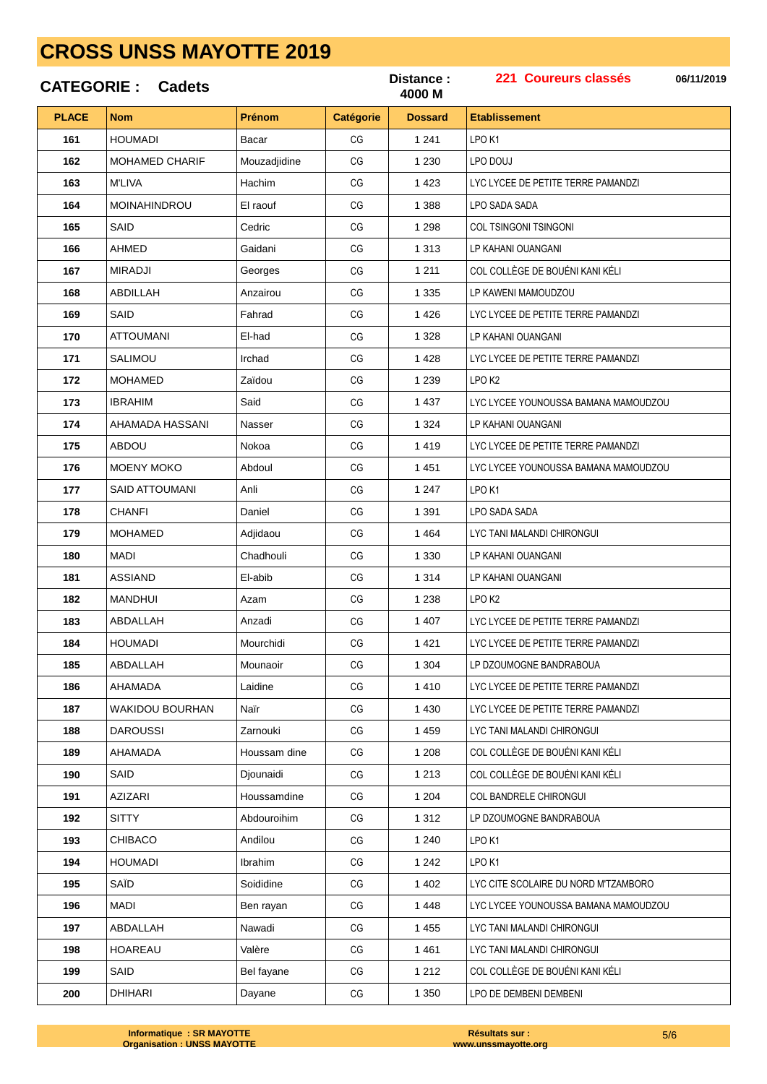|              | <b>CATEGORIE: Cadets</b> |              |                  | Distance:<br>4000 M | 221 Coureurs classés<br>06/11/2019   |
|--------------|--------------------------|--------------|------------------|---------------------|--------------------------------------|
| <b>PLACE</b> | <b>Nom</b>               | Prénom       | <b>Catégorie</b> | <b>Dossard</b>      | <b>Etablissement</b>                 |
| 161          | <b>HOUMADI</b>           | Bacar        | CG               | 1 2 4 1             | LPO <sub>K1</sub>                    |
| 162          | <b>MOHAMED CHARIF</b>    | Mouzadjidine | CG               | 1 2 3 0             | LPO DOUJ                             |
| 163          | <b>M'LIVA</b>            | Hachim       | CG               | 1 4 2 3             | LYC LYCEE DE PETITE TERRE PAMANDZI   |
| 164          | MOINAHINDROU             | El raouf     | CG               | 1 3 8 8             | LPO SADA SADA                        |
| 165          | SAID                     | Cedric       | CG               | 1 2 9 8             | COL TSINGONI TSINGONI                |
| 166          | AHMED                    | Gaidani      | CG               | 1 3 1 3             | LP KAHANI OUANGANI                   |
| 167          | <b>MIRADJI</b>           | Georges      | CG               | 1 2 1 1             | COL COLLÈGE DE BOUÉNI KANI KÉLI      |
| 168          | ABDILLAH                 | Anzairou     | CG               | 1 3 3 5             | LP KAWENI MAMOUDZOU                  |
| 169          | SAID                     | Fahrad       | CG               | 1426                | LYC LYCEE DE PETITE TERRE PAMANDZI   |
| 170          | <b>ATTOUMANI</b>         | El-had       | CG               | 1 3 2 8             | LP KAHANI OUANGANI                   |
| 171          | <b>SALIMOU</b>           | Irchad       | CG               | 1428                | LYC LYCEE DE PETITE TERRE PAMANDZI   |
| 172          | <b>MOHAMED</b>           | Zaïdou       | CG               | 1 2 3 9             | LPO <sub>K2</sub>                    |
| 173          | <b>IBRAHIM</b>           | Said         | CG               | 1 4 3 7             | LYC LYCEE YOUNOUSSA BAMANA MAMOUDZOU |
| 174          | AHAMADA HASSANI          | Nasser       | CG               | 1 3 2 4             | LP KAHANI OUANGANI                   |
| 175          | <b>ABDOU</b>             | Nokoa        | CG               | 1419                | LYC LYCEE DE PETITE TERRE PAMANDZI   |
| 176          | <b>MOENY MOKO</b>        | Abdoul       | CG               | 1451                | LYC LYCEE YOUNOUSSA BAMANA MAMOUDZOU |
| 177          | SAID ATTOUMANI           | Anli         | CG               | 1 2 4 7             | LPO <sub>K1</sub>                    |
| 178          | <b>CHANFI</b>            | Daniel       | CG               | 1 3 9 1             | LPO SADA SADA                        |
| 179          | <b>MOHAMED</b>           | Adjidaou     | CG               | 1 4 6 4             | LYC TANI MALANDI CHIRONGUI           |
| 180          | MADI                     | Chadhouli    | CG               | 1 3 3 0             | LP KAHANI OUANGANI                   |
| 181          | <b>ASSIAND</b>           | El-abib      | CG               | 1 3 1 4             | LP KAHANI OUANGANI                   |
| 182          | <b>MANDHUI</b>           | Azam         | CG               | 1 2 3 8             | LPO <sub>K2</sub>                    |
| 183          | ABDALLAH                 | Anzadi       | CG               | 1 407               | LYC LYCEE DE PETITE TERRE PAMANDZI   |
| 184          | <b>HOUMADI</b>           | Mourchidi    | CG               | 1421                | LYC LYCEE DE PETITE TERRE PAMANDZI   |
| 185          | ABDALLAH                 | Mounaoir     | CG               | 1 3 0 4             | LP DZOUMOGNE BANDRABOUA              |
| 186          | AHAMADA                  | Laidine      | CG               | 1410                | LYC LYCEE DE PETITE TERRE PAMANDZI   |
| 187          | <b>WAKIDOU BOURHAN</b>   | Naïr         | CG               | 1 4 3 0             | LYC LYCEE DE PETITE TERRE PAMANDZI   |
| 188          | <b>DAROUSSI</b>          | Zarnouki     | CG               | 1 4 5 9             | LYC TANI MALANDI CHIRONGUI           |
| 189          | AHAMADA                  | Houssam dine | CG               | 1 2 0 8             | COL COLLÈGE DE BOUÉNI KANI KÉLI      |
| 190          | SAID                     | Djounaidi    | CG               | 1 2 1 3             | COL COLLÈGE DE BOUÉNI KANI KÉLI      |
| 191          | <b>AZIZARI</b>           | Houssamdine  | CG               | 1 2 0 4             | COL BANDRELE CHIRONGUI               |
| 192          | <b>SITTY</b>             | Abdouroihim  | CG               | 1 3 1 2             | LP DZOUMOGNE BANDRABOUA              |
| 193          | <b>CHIBACO</b>           | Andilou      | CG               | 1 2 4 0             | LPO K1                               |
| 194          | <b>HOUMADI</b>           | Ibrahim      | CG               | 1 2 4 2             | LPO <sub>K1</sub>                    |
| 195          | SAÏD                     | Soididine    | CG               | 1 4 0 2             | LYC CITE SCOLAIRE DU NORD M'TZAMBORO |
| 196          | <b>MADI</b>              | Ben rayan    | CG               | 1 4 4 8             | LYC LYCEE YOUNOUSSA BAMANA MAMOUDZOU |
| 197          | ABDALLAH                 | Nawadi       | CG               | 1 4 5 5             | LYC TANI MALANDI CHIRONGUI           |
| 198          | <b>HOAREAU</b>           | Valère       | CG               | 1461                | LYC TANI MALANDI CHIRONGUI           |
| 199          | SAID                     | Bel fayane   | CG               | 1 2 1 2             | COL COLLÈGE DE BOUÉNI KANI KÉLI      |
| 200          | DHIHARI                  | Dayane       | CG               | 1 3 5 0             | LPO DE DEMBENI DEMBENI               |